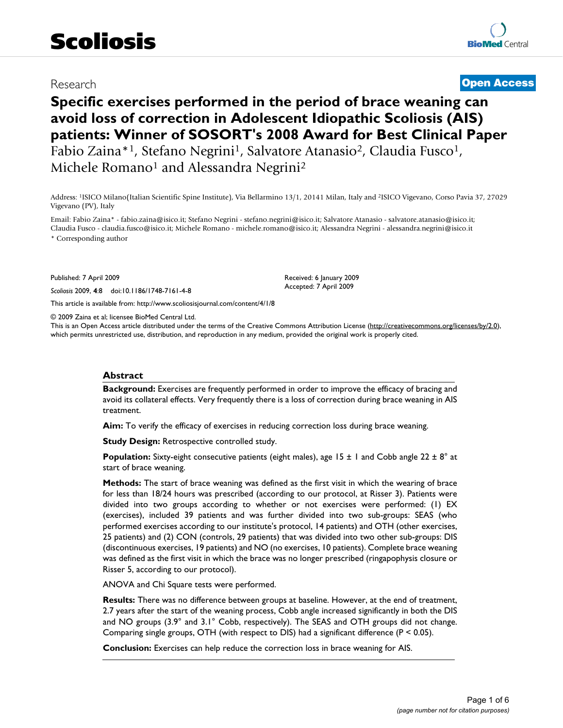# Research **[Open Access](http://www.biomedcentral.com/info/about/charter/)**

# **Specific exercises performed in the period of brace weaning can avoid loss of correction in Adolescent Idiopathic Scoliosis (AIS) patients: Winner of SOSORT's 2008 Award for Best Clinical Paper** Fabio Zaina\*<sup>1</sup>, Stefano Negrini<sup>1</sup>, Salvatore Atanasio<sup>2</sup>, Claudia Fusco<sup>1</sup>,

Michele Romano<sup>1</sup> and Alessandra Negrini<sup>2</sup>

Address: 1ISICO Milano(Italian Scientific Spine Institute), Via Bellarmino 13/1, 20141 Milan, Italy and 2ISICO Vigevano, Corso Pavia 37, 27029 Vigevano (PV), Italy

Email: Fabio Zaina\* - fabio.zaina@isico.it; Stefano Negrini - stefano.negrini@isico.it; Salvatore Atanasio - salvatore.atanasio@isico.it; Claudia Fusco - claudia.fusco@isico.it; Michele Romano - michele.romano@isico.it; Alessandra Negrini - alessandra.negrini@isico.it \* Corresponding author

Published: 7 April 2009

*Scoliosis* 2009, **4**:8 doi:10.1186/1748-7161-4-8

[This article is available from: http://www.scoliosisjournal.com/content/4/1/8](http://www.scoliosisjournal.com/content/4/1/8)

© 2009 Zaina et al; licensee BioMed Central Ltd.

This is an Open Access article distributed under the terms of the Creative Commons Attribution License [\(http://creativecommons.org/licenses/by/2.0\)](http://creativecommons.org/licenses/by/2.0), which permits unrestricted use, distribution, and reproduction in any medium, provided the original work is properly cited.

Received: 6 January 2009 Accepted: 7 April 2009

#### **Abstract**

**Background:** Exercises are frequently performed in order to improve the efficacy of bracing and avoid its collateral effects. Very frequently there is a loss of correction during brace weaning in AIS treatment.

**Aim:** To verify the efficacy of exercises in reducing correction loss during brace weaning.

**Study Design: Retrospective controlled study.** 

**Population:** Sixty-eight consecutive patients (eight males), age 15 ± 1 and Cobb angle 22 ± 8° at start of brace weaning.

**Methods:** The start of brace weaning was defined as the first visit in which the wearing of brace for less than 18/24 hours was prescribed (according to our protocol, at Risser 3). Patients were divided into two groups according to whether or not exercises were performed: (1) EX (exercises), included 39 patients and was further divided into two sub-groups: SEAS (who performed exercises according to our institute's protocol, 14 patients) and OTH (other exercises, 25 patients) and (2) CON (controls, 29 patients) that was divided into two other sub-groups: DIS (discontinuous exercises, 19 patients) and NO (no exercises, 10 patients). Complete brace weaning was defined as the first visit in which the brace was no longer prescribed (ringapophysis closure or Risser 5, according to our protocol).

ANOVA and Chi Square tests were performed.

**Results:** There was no difference between groups at baseline. However, at the end of treatment, 2.7 years after the start of the weaning process, Cobb angle increased significantly in both the DIS and NO groups (3.9° and 3.1° Cobb, respectively). The SEAS and OTH groups did not change. Comparing single groups, OTH (with respect to DIS) had a significant difference ( $P < 0.05$ ).

**Conclusion:** Exercises can help reduce the correction loss in brace weaning for AIS.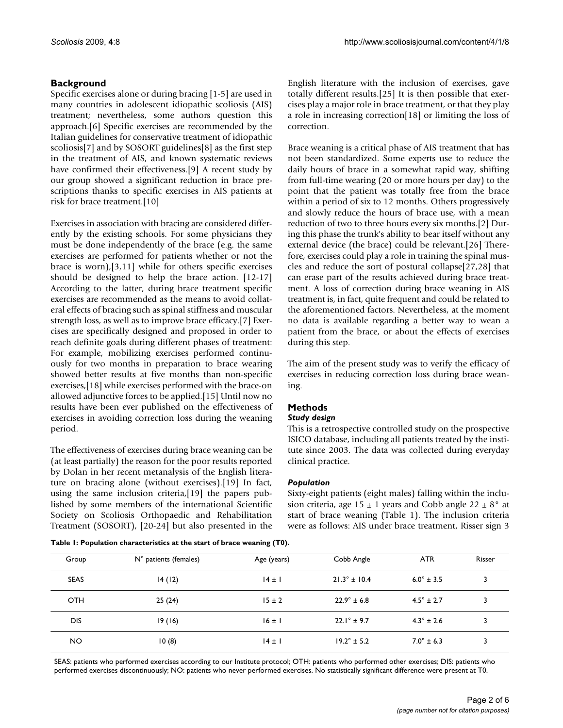# **Background**

Specific exercises alone or during bracing [1-5] are used in many countries in adolescent idiopathic scoliosis (AIS) treatment; nevertheless, some authors question this approach.[6] Specific exercises are recommended by the Italian guidelines for conservative treatment of idiopathic scoliosis[7] and by SOSORT guidelines[8] as the first step in the treatment of AIS, and known systematic reviews have confirmed their effectiveness.[9] A recent study by our group showed a significant reduction in brace prescriptions thanks to specific exercises in AIS patients at risk for brace treatment.[10]

Exercises in association with bracing are considered differently by the existing schools. For some physicians they must be done independently of the brace (e.g. the same exercises are performed for patients whether or not the brace is worn),[3,11] while for others specific exercises should be designed to help the brace action. [12-17] According to the latter, during brace treatment specific exercises are recommended as the means to avoid collateral effects of bracing such as spinal stiffness and muscular strength loss, as well as to improve brace efficacy.[7] Exercises are specifically designed and proposed in order to reach definite goals during different phases of treatment: For example, mobilizing exercises performed continuously for two months in preparation to brace wearing showed better results at five months than non-specific exercises,[18] while exercises performed with the brace-on allowed adjunctive forces to be applied.[15] Until now no results have been ever published on the effectiveness of exercises in avoiding correction loss during the weaning period.

The effectiveness of exercises during brace weaning can be (at least partially) the reason for the poor results reported by Dolan in her recent metanalysis of the English literature on bracing alone (without exercises).[19] In fact, using the same inclusion criteria,[19] the papers published by some members of the international Scientific Society on Scoliosis Orthopaedic and Rehabilitation Treatment (SOSORT), [20-24] but also presented in the

English literature with the inclusion of exercises, gave totally different results.[25] It is then possible that exercises play a major role in brace treatment, or that they play a role in increasing correction[18] or limiting the loss of correction.

Brace weaning is a critical phase of AIS treatment that has not been standardized. Some experts use to reduce the daily hours of brace in a somewhat rapid way, shifting from full-time wearing (20 or more hours per day) to the point that the patient was totally free from the brace within a period of six to 12 months. Others progressively and slowly reduce the hours of brace use, with a mean reduction of two to three hours every six months.[2] During this phase the trunk's ability to bear itself without any external device (the brace) could be relevant.[26] Therefore, exercises could play a role in training the spinal muscles and reduce the sort of postural collapse[27,28] that can erase part of the results achieved during brace treatment. A loss of correction during brace weaning in AIS treatment is, in fact, quite frequent and could be related to the aforementioned factors. Nevertheless, at the moment no data is available regarding a better way to wean a patient from the brace, or about the effects of exercises during this step.

The aim of the present study was to verify the efficacy of exercises in reducing correction loss during brace weaning.

# **Methods**

#### *Study design*

This is a retrospective controlled study on the prospective ISICO database, including all patients treated by the institute since 2003. The data was collected during everyday clinical practice.

#### *Population*

Sixty-eight patients (eight males) falling within the inclusion criteria, age  $15 \pm 1$  years and Cobb angle  $22 \pm 8^{\circ}$  at start of brace weaning (Table 1). The inclusion criteria were as follows: AIS under brace treatment, Risser sign 3

**Table 1: Population characteristics at the start of brace weaning (T0).** 

| Group       | N° patients (females) | Age (years) | Cobb Angle              | <b>ATR</b>            | Risser |
|-------------|-----------------------|-------------|-------------------------|-----------------------|--------|
| <b>SEAS</b> | 14(12)                | $14 \pm 1$  | $21.3^{\circ} \pm 10.4$ | $6.0^{\circ} \pm 3.5$ |        |
| <b>OTH</b>  | 25(24)                | $15 \pm 2$  | $22.9^{\circ} \pm 6.8$  | $4.5^{\circ} \pm 2.7$ |        |
| <b>DIS</b>  | 19 (16)               | $16 \pm 1$  | $22.1^{\circ}$ ± 9.7    | $4.3^{\circ} \pm 2.6$ |        |
| <b>NO</b>   | 10(8)                 | $14 \pm 1$  | $19.2^{\circ} \pm 5.2$  | $7.0^{\circ} \pm 6.3$ |        |

SEAS: patients who performed exercises according to our Institute protocol; OTH: patients who performed other exercises; DIS: patients who performed exercises discontinuously; NO: patients who never performed exercises. No statistically significant difference were present at T0.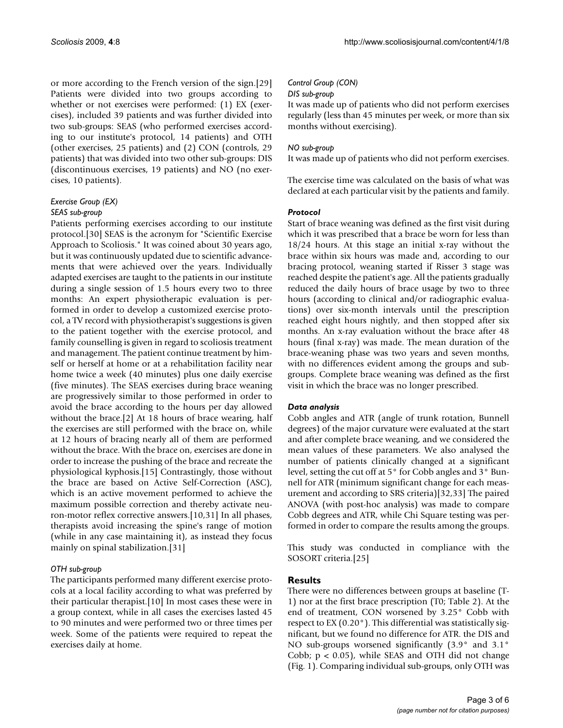or more according to the French version of the sign.[29] Patients were divided into two groups according to whether or not exercises were performed: (1) EX (exercises), included 39 patients and was further divided into two sub-groups: SEAS (who performed exercises according to our institute's protocol, 14 patients) and OTH (other exercises, 25 patients) and (2) CON (controls, 29 patients) that was divided into two other sub-groups: DIS (discontinuous exercises, 19 patients) and NO (no exercises, 10 patients).

# *Exercise Group (EX)*

#### *SEAS sub-group*

Patients performing exercises according to our institute protocol.[30] SEAS is the acronym for "Scientific Exercise Approach to Scoliosis." It was coined about 30 years ago, but it was continuously updated due to scientific advancements that were achieved over the years. Individually adapted exercises are taught to the patients in our institute during a single session of 1.5 hours every two to three months: An expert physiotherapic evaluation is performed in order to develop a customized exercise protocol, a TV record with physiotherapist's suggestions is given to the patient together with the exercise protocol, and family counselling is given in regard to scoliosis treatment and management. The patient continue treatment by himself or herself at home or at a rehabilitation facility near home twice a week (40 minutes) plus one daily exercise (five minutes). The SEAS exercises during brace weaning are progressively similar to those performed in order to avoid the brace according to the hours per day allowed without the brace.[2] At 18 hours of brace wearing, half the exercises are still performed with the brace on, while at 12 hours of bracing nearly all of them are performed without the brace. With the brace on, exercises are done in order to increase the pushing of the brace and recreate the physiological kyphosis.[15] Contrastingly, those without the brace are based on Active Self-Correction (ASC), which is an active movement performed to achieve the maximum possible correction and thereby activate neuron-motor reflex corrective answers.[10,31] In all phases, therapists avoid increasing the spine's range of motion (while in any case maintaining it), as instead they focus mainly on spinal stabilization.[31]

#### *OTH sub-group*

The participants performed many different exercise protocols at a local facility according to what was preferred by their particular therapist.[10] In most cases these were in a group context, while in all cases the exercises lasted 45 to 90 minutes and were performed two or three times per week. Some of the patients were required to repeat the exercises daily at home.

#### *Control Group (CON)*

#### *DIS sub-group*

It was made up of patients who did not perform exercises regularly (less than 45 minutes per week, or more than six months without exercising).

#### *NO sub-group*

It was made up of patients who did not perform exercises.

The exercise time was calculated on the basis of what was declared at each particular visit by the patients and family.

#### *Protocol*

Start of brace weaning was defined as the first visit during which it was prescribed that a brace be worn for less than 18/24 hours. At this stage an initial x-ray without the brace within six hours was made and, according to our bracing protocol, weaning started if Risser 3 stage was reached despite the patient's age. All the patients gradually reduced the daily hours of brace usage by two to three hours (according to clinical and/or radiographic evaluations) over six-month intervals until the prescription reached eight hours nightly, and then stopped after six months. An x-ray evaluation without the brace after 48 hours (final x-ray) was made. The mean duration of the brace-weaning phase was two years and seven months, with no differences evident among the groups and subgroups. Complete brace weaning was defined as the first visit in which the brace was no longer prescribed.

#### *Data analysis*

Cobb angles and ATR (angle of trunk rotation, Bunnell degrees) of the major curvature were evaluated at the start and after complete brace weaning, and we considered the mean values of these parameters. We also analysed the number of patients clinically changed at a significant level, setting the cut off at 5° for Cobb angles and 3° Bunnell for ATR (minimum significant change for each measurement and according to SRS criteria)[32,33] The paired ANOVA (with post-hoc analysis) was made to compare Cobb degrees and ATR, while Chi Square testing was performed in order to compare the results among the groups.

This study was conducted in compliance with the SOSORT criteria.[25]

#### **Results**

There were no differences between groups at baseline (T-1) nor at the first brace prescription (T0; Table 2). At the end of treatment, CON worsened by 3.25° Cobb with respect to EX (0.20°). This differential was statistically significant, but we found no difference for ATR. the DIS and NO sub-groups worsened significantly (3.9° and 3.1° Cobb;  $p < 0.05$ ), while SEAS and OTH did not change (Fig. 1). Comparing individual sub-groups, only OTH was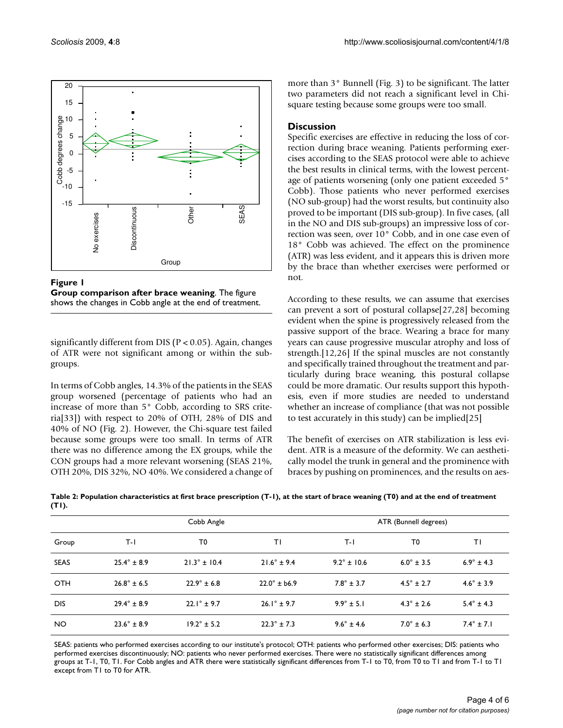

Figure 1 **Group comparison after brace weaning**. The figure shows the changes in Cobb angle at the end of treatment.

significantly different from DIS (P < 0.05). Again, changes of ATR were not significant among or within the subgroups.

In terms of Cobb angles, 14.3% of the patients in the SEAS group worsened (percentage of patients who had an increase of more than 5° Cobb, according to SRS criteria[33]) with respect to 20% of OTH, 28% of DIS and 40% of NO (Fig. 2). However, the Chi-square test failed because some groups were too small. In terms of ATR there was no difference among the EX groups, while the CON groups had a more relevant worsening (SEAS 21%, OTH 20%, DIS 32%, NO 40%. We considered a change of more than 3° Bunnell (Fig. 3) to be significant. The latter two parameters did not reach a significant level in Chisquare testing because some groups were too small.

# **Discussion**

Specific exercises are effective in reducing the loss of correction during brace weaning. Patients performing exercises according to the SEAS protocol were able to achieve the best results in clinical terms, with the lowest percentage of patients worsening (only one patient exceeded 5° Cobb). Those patients who never performed exercises (NO sub-group) had the worst results, but continuity also proved to be important (DIS sub-group). In five cases, (all in the NO and DIS sub-groups) an impressive loss of correction was seen, over 10° Cobb, and in one case even of 18° Cobb was achieved. The effect on the prominence (ATR) was less evident, and it appears this is driven more by the brace than whether exercises were performed or not.

According to these results, we can assume that exercises can prevent a sort of postural collapse[27,28] becoming evident when the spine is progressively released from the passive support of the brace. Wearing a brace for many years can cause progressive muscular atrophy and loss of strength.[12,26] If the spinal muscles are not constantly and specifically trained throughout the treatment and particularly during brace weaning, this postural collapse could be more dramatic. Our results support this hypothesis, even if more studies are needed to understand whether an increase of compliance (that was not possible to test accurately in this study) can be implied[25]

The benefit of exercises on ATR stabilization is less evident. ATR is a measure of the deformity. We can aesthetically model the trunk in general and the prominence with braces by pushing on prominences, and the results on aes-

|             | Cobb Angle             |                         |                        | ATR (Bunnell degrees) |                       |                       |
|-------------|------------------------|-------------------------|------------------------|-----------------------|-----------------------|-----------------------|
| Group       | $T-1$                  | T0                      | ΤI                     | T-I                   | T <sub>0</sub>        | ΤI                    |
| <b>SEAS</b> | $25.4^{\circ} \pm 8.9$ | $21.3^{\circ} \pm 10.4$ | $21.6^{\circ} \pm 9.4$ | $9.2^{\circ}$ ± 10.6  | $6.0^{\circ}$ ± 3.5   | $6.9^{\circ} \pm 4.3$ |
| <b>OTH</b>  | $26.8^{\circ} \pm 6.5$ | $22.9^{\circ} \pm 6.8$  | $22.0^{\circ}$ ± b6.9  | $7.8^{\circ} \pm 3.7$ | $4.5^{\circ} \pm 2.7$ | $4.6^{\circ} \pm 3.9$ |
| <b>DIS</b>  | $29.4^{\circ} \pm 8.9$ | $22.1^{\circ}$ ± 9.7    | $26.1^{\circ} \pm 9.7$ | $9.9^{\circ} \pm 5.1$ | $4.3^{\circ} \pm 2.6$ | $5.4^{\circ}$ ± 4.3   |
| <b>NO</b>   | $23.6^{\circ} \pm 8.9$ | $19.2^{\circ}$ ± 5.2    | $22.3^{\circ} \pm 7.3$ | $9.6^{\circ} \pm 4.6$ | $7.0^{\circ}$ ± 6.3   | $7.4^{\circ}$ ± 7.1   |

**Table 2: Population characteristics at first brace prescription (T-1), at the start of brace weaning (T0) and at the end of treatment (T1).** 

SEAS: patients who performed exercises according to our institute's protocol; OTH: patients who performed other exercises; DIS: patients who performed exercises discontinuously; NO: patients who never performed exercises. There were no statistically significant differences among groups at T-1, T0, T1. For Cobb angles and ATR there were statistically significant differences from T-1 to T0, from T0 to T1 and from T-1 to T1 except from T1 to T0 for ATR.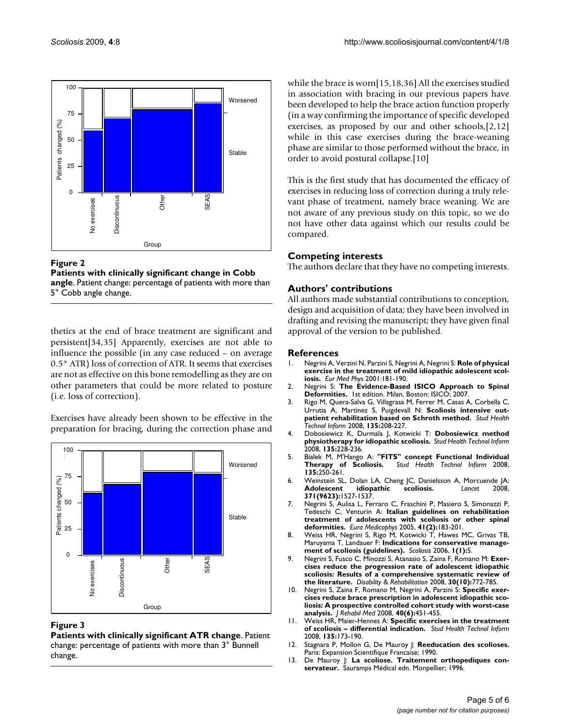



thetics at the end of brace treatment are significant and persistent[34,35] Apparently, exercises are not able to influence the possible (in any case reduced – on average 0.5° ATR) loss of correction of ATR. It seems that exercises are not as effective on this bone remodelling as they are on other parameters that could be more related to posture (i.e. loss of correction).

Exercises have already been shown to be effective in the preparation for bracing, during the correction phase and



# **Figure 3**

**Patients with clinically significant ATR change**. Patient change: percentage of patients with more than 3° Bunnell change.

while the brace is worn[15,18,36] All the exercises studied in association with bracing in our previous papers have been developed to help the brace action function properly (in a way confirming the importance of specific developed exercises, as proposed by our and other schools,[2,12] while in this case exercises during the brace-weaning phase are similar to those performed without the brace, in order to avoid postural collapse.[10]

This is the first study that has documented the efficacy of exercises in reducing loss of correction during a truly relevant phase of treatment, namely brace weaning. We are not aware of any previous study on this topic, so we do not have other data against which our results could be compared.

# **Competing interests**

The authors declare that they have no competing interests.

# **Authors' contributions**

All authors made substantial contributions to conception, design and acquisition of data; they have been involved in drafting and revising the manuscript; they have given final approval of the version to be published.

### **References**

- 1. Negrini A, Verzini N, Parzini S, Negrini A, Negrini S: **Role of physical exercise in the treatment of mild idiopathic adolescent scoliosis.** *Eur Med Phys* 2001:181-190.
- 2. Negrini S: **The Evidence-Based ISICO Approach to Spinal Deformities.** 1st edition. Milan, Boston: ISICO; 2007.
- 3. Rigo M, Quera-Salva G, Villagrasa M, Ferrer M, Casas A, Corbella C, Urrutia A, Martinez S, Puigdevall N: **[Scoliosis intensive out](http://www.ncbi.nlm.nih.gov/entrez/query.fcgi?cmd=Retrieve&db=PubMed&dopt=Abstract&list_uids=18401092)[patient rehabilitation based on Schroth method.](http://www.ncbi.nlm.nih.gov/entrez/query.fcgi?cmd=Retrieve&db=PubMed&dopt=Abstract&list_uids=18401092)** *Stud Health Technol Inform* 2008, **135:**208-227.
- 4. Dobosiewicz K, Durmala J, Kotwicki T: **[Dobosiewicz method](http://www.ncbi.nlm.nih.gov/entrez/query.fcgi?cmd=Retrieve&db=PubMed&dopt=Abstract&list_uids=18401093) [physiotherapy for idiopathic scoliosis.](http://www.ncbi.nlm.nih.gov/entrez/query.fcgi?cmd=Retrieve&db=PubMed&dopt=Abstract&list_uids=18401093)** *Stud Health Technol Inform* 2008, **135:**228-236.
- 5. Bialek M, M'Hango A: **["FITS" concept Functional Individual](http://www.ncbi.nlm.nih.gov/entrez/query.fcgi?cmd=Retrieve&db=PubMed&dopt=Abstract&list_uids=18401096)** Stud Health Technol Inform 2008, **135:**250-261.
- 6. Weinstein SL, Dolan LA, Cheng JC, Danielsson A, Morcuende JA: **[Adolescent idiopathic scoliosis.](http://www.ncbi.nlm.nih.gov/entrez/query.fcgi?cmd=Retrieve&db=PubMed&dopt=Abstract&list_uids=18456103)** *Lancet* 2008, **371(9623):**1527-1537.
- 7. Negrini S, Aulisa L, Ferraro C, Fraschini P, Masiero S, Simonazzi P, Tedeschi C, Venturin A: **[Italian guidelines on rehabilitation](http://www.ncbi.nlm.nih.gov/entrez/query.fcgi?cmd=Retrieve&db=PubMed&dopt=Abstract&list_uids=16200035) [treatment of adolescents with scoliosis or other spinal](http://www.ncbi.nlm.nih.gov/entrez/query.fcgi?cmd=Retrieve&db=PubMed&dopt=Abstract&list_uids=16200035) [deformities.](http://www.ncbi.nlm.nih.gov/entrez/query.fcgi?cmd=Retrieve&db=PubMed&dopt=Abstract&list_uids=16200035)** *Eura Medicophys* 2005, **41(2):**183-201.
- 8. Weiss HR, Negrini S, Rigo M, Kotwicki T, Hawes MC, Grivas TB, Maruyama T, Landauer F: **[Indications for conservative manage](http://www.ncbi.nlm.nih.gov/entrez/query.fcgi?cmd=Retrieve&db=PubMed&dopt=Abstract&list_uids=16759357)[ment of scoliosis \(guidelines\).](http://www.ncbi.nlm.nih.gov/entrez/query.fcgi?cmd=Retrieve&db=PubMed&dopt=Abstract&list_uids=16759357)** *Scoliosis* 2006, **1(1):**5.
- 9. Negrini S, Fusco C, Minozzi S, Atanasio S, Zaina F, Romano M: **Exercises reduce the progression rate of adolescent idiopathic scoliosis: Results of a comprehensive systematic review of the literature.** *Disability & Rehabilitation* 2008, **30(10):**772-785.
- 10. Negrini S, Zaina F, Romano M, Negrini A, Parzini S: **[Specific exer](http://www.ncbi.nlm.nih.gov/entrez/query.fcgi?cmd=Retrieve&db=PubMed&dopt=Abstract&list_uids=18509560)[cises reduce brace prescription in adolescent idiopathic sco](http://www.ncbi.nlm.nih.gov/entrez/query.fcgi?cmd=Retrieve&db=PubMed&dopt=Abstract&list_uids=18509560)liosis: A prospective controlled cohort study with worst-case [analysis.](http://www.ncbi.nlm.nih.gov/entrez/query.fcgi?cmd=Retrieve&db=PubMed&dopt=Abstract&list_uids=18509560)** *J Rehabil Med* 2008, **40(6):**451-455.
- 11. Weiss HR, Maier-Hennes A: **[Specific exercises in the treatment](http://www.ncbi.nlm.nih.gov/entrez/query.fcgi?cmd=Retrieve&db=PubMed&dopt=Abstract&list_uids=18401090) [of scoliosis – differential indication.](http://www.ncbi.nlm.nih.gov/entrez/query.fcgi?cmd=Retrieve&db=PubMed&dopt=Abstract&list_uids=18401090)** *Stud Health Technol Inform* 2008, **135:**173-190.
- 12. Stagnara P, Mollon G, De Mauroy J: Reeducation des scolioses. Paris: Expansion Scientifique Francaise; 1990.
- 13. De Mauroy J: **La scoliose. Traitement orthopediques conservateur.** Sauramps Médical edn. Monpellier; 1996.